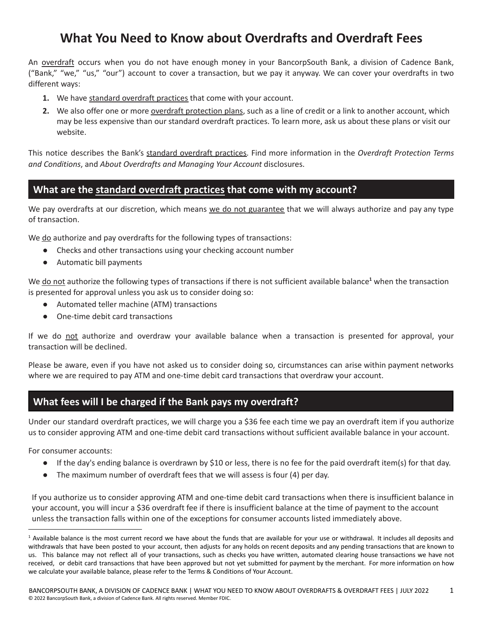## **What You Need to Know about Overdrafts and Overdraft Fees**

An overdraft occurs when you do not have enough money in your BancorpSouth Bank, a division of Cadence Bank, ("Bank," "we," "us," "our") account to cover a transaction, but we pay it anyway. We can cover your overdrafts in two different ways:

- **1.** We have standard overdraft practices that come with your account.
- **2.** We also offer one or more overdraft protection plans, such as a line of credit or a link to another account, which may be less expensive than our standard overdraft practices. To learn more, ask us about these plans or visit our website.

This notice describes the Bank's standard overdraft practices. Find more information in the *Overdraft Protection Terms and Conditions*, and *About Overdrafts and Managing Your Account* disclosures.

## **What are the standard overdraft practices that come with my account?**

We pay overdrafts at our discretion, which means we do not guarantee that we will always authorize and pay any type of transaction.

We do authorize and pay overdrafts for the following types of transactions:

- Checks and other transactions using your checking account number
- Automatic bill payments

We <u>do not</u> authorize the following types of transactions if there is not sufficient available balance<sup>1</sup> when the transaction is presented for approval unless you ask us to consider doing so:

- Automated teller machine (ATM) transactions
- One-time debit card transactions

If we do not authorize and overdraw your available balance when a transaction is presented for approval, your transaction will be declined.

Please be aware, even if you have not asked us to consider doing so, circumstances can arise within payment networks where we are required to pay ATM and one-time debit card transactions that overdraw your account.

## **What fees will I be charged if the Bank pays my overdraft?**

Under our standard overdraft practices, we will charge you a \$36 fee each time we pay an overdraft item if you authorize us to consider approving ATM and one-time debit card transactions without sufficient available balance in your account.

For consumer accounts:

- If the day's ending balance is overdrawn by \$10 or less, there is no fee for the paid overdraft item(s) for that day.
- The maximum number of overdraft fees that we will assess is four (4) per day.

If you authorize us to consider approving ATM and one-time debit card transactions when there is insufficient balance in your account, you will incur a \$36 overdraft fee if there is insufficient balance at the time of payment to the account unless the transaction falls within one of the exceptions for consumer accounts listed immediately above.

 $<sup>1</sup>$  Available balance is the most current record we have about the funds that are available for your use or withdrawal. It includes all deposits and</sup> withdrawals that have been posted to your account, then adjusts for any holds on recent deposits and any pending transactions that are known to us. This balance may not reflect all of your transactions, such as checks you have written, automated clearing house transactions we have not received, or debit card transactions that have been approved but not yet submitted for payment by the merchant. For more information on how we calculate your available balance, please refer to the Terms & Conditions of Your Account.